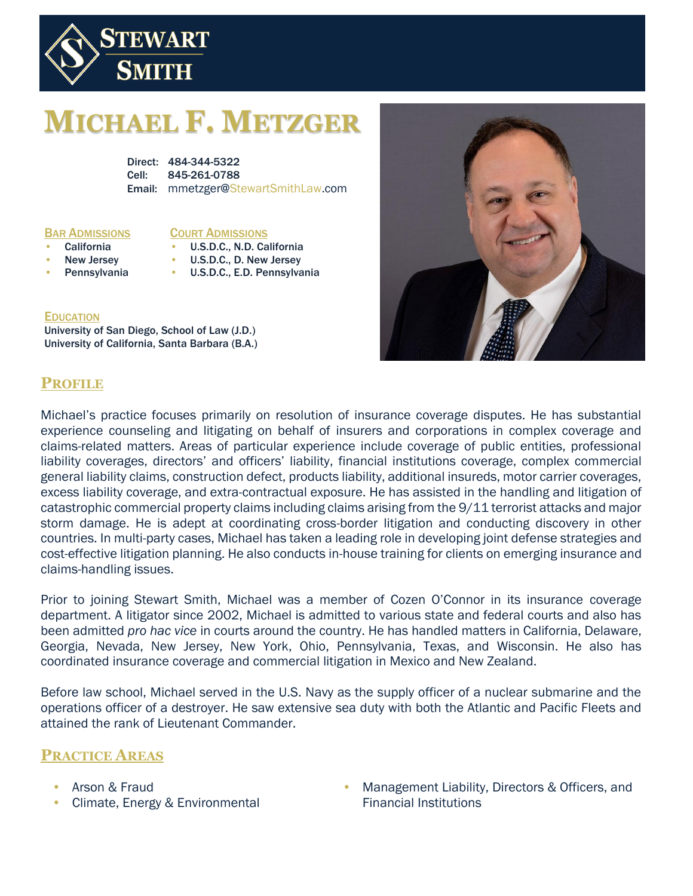

# **MICHAEL F. METZGER**

Direct: 484-344-5322 Cell: 845-261-0788 Email: mmetzger@StewartSmithLaw.com

#### BAR ADMISSIONS

#### COURT ADMISSIONS

- **California** 
	- New Jersey
	- **Pennsylvania** • U.S.D.C., D. New Jersey
		- U.S.D.C., E.D. Pennsylvania

• U.S.D.C., N.D. California

#### **EDUCATION**

University of San Diego, School of Law (J.D.) University of California, Santa Barbara (B.A.)



## **PROFILE**

Michael's practice focuses primarily on resolution of insurance coverage disputes. He has substantial experience counseling and litigating on behalf of insurers and corporations in complex coverage and claims-related matters. Areas of particular experience include coverage of public entities, professional liability coverages, directors' and officers' liability, financial institutions coverage, complex commercial general liability claims, construction defect, products liability, additional insureds, motor carrier coverages, excess liability coverage, and extra-contractual exposure. He has assisted in the handling and litigation of catastrophic commercial property claims including claims arising from the 9/11 terrorist attacks and major storm damage. He is adept at coordinating cross-border litigation and conducting discovery in other countries. In multi-party cases, Michael has taken a leading role in developing joint defense strategies and cost-effective litigation planning. He also conducts in-house training for clients on emerging insurance and claims-handling issues.

Prior to joining Stewart Smith, Michael was a member of Cozen O'Connor in its insurance coverage department. A litigator since 2002, Michael is admitted to various state and federal courts and also has been admitted *pro hac vice* in courts around the country. He has handled matters in California, Delaware, Georgia, Nevada, New Jersey, New York, Ohio, Pennsylvania, Texas, and Wisconsin. He also has coordinated insurance coverage and commercial litigation in Mexico and New Zealand.

Before law school, Michael served in the U.S. Navy as the supply officer of a nuclear submarine and the operations officer of a destroyer. He saw extensive sea duty with both the Atlantic and Pacific Fleets and attained the rank of Lieutenant Commander.

### **PRACTICE AREAS**

- Arson & Fraud
- Climate, Energy & Environmental
- Management Liability, Directors & Officers, and Financial Institutions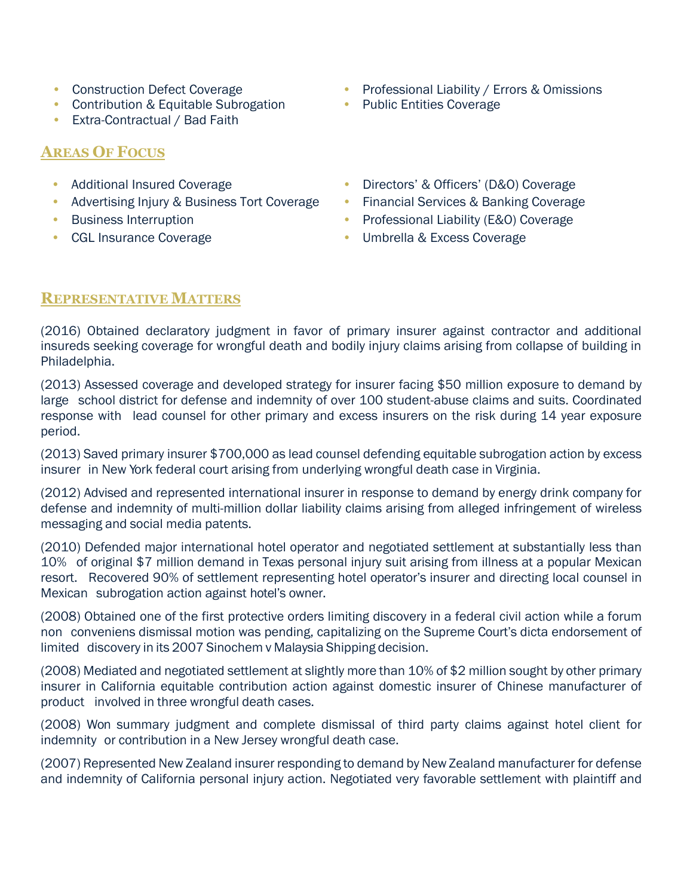- Construction Defect Coverage
- Contribution & Equitable Subrogation
- Extra-Contractual / Bad Faith

## **AREAS OF FOCUS**

- Additional Insured Coverage
- Advertising Injury & Business Tort Coverage
- Business Interruption
- CGL Insurance Coverage
- Professional Liability / Errors & Omissions
- Public Entities Coverage
- Directors' & Officers' (D&O) Coverage
- Financial Services & Banking Coverage
- Professional Liability (E&O) Coverage
- Umbrella & Excess Coverage

### **REPRESENTATIVE MATTERS**

(2016) Obtained declaratory judgment in favor of primary insurer against contractor and additional insureds seeking coverage for wrongful death and bodily injury claims arising from collapse of building in Philadelphia.

(2013) Assessed coverage and developed strategy for insurer facing \$50 million exposure to demand by large school district for defense and indemnity of over 100 student-abuse claims and suits. Coordinated response with lead counsel for other primary and excess insurers on the risk during 14 year exposure period.

(2013) Saved primary insurer \$700,000 as lead counsel defending equitable subrogation action by excess insurer in New York federal court arising from underlying wrongful death case in Virginia.

(2012) Advised and represented international insurer in response to demand by energy drink company for defense and indemnity of multi-million dollar liability claims arising from alleged infringement of wireless messaging and social media patents.

(2010) Defended major international hotel operator and negotiated settlement at substantially less than 10% of original \$7 million demand in Texas personal injury suit arising from illness at a popular Mexican resort. Recovered 90% of settlement representing hotel operator's insurer and directing local counsel in Mexican subrogation action against hotel's owner.

(2008) Obtained one of the first protective orders limiting discovery in a federal civil action while a forum non conveniens dismissal motion was pending, capitalizing on the Supreme Court's dicta endorsement of limited discovery in its 2007 Sinochem v Malaysia Shipping decision.

(2008) Mediated and negotiated settlement at slightly more than 10% of \$2 million sought by other primary insurer in California equitable contribution action against domestic insurer of Chinese manufacturer of product involved in three wrongful death cases.

(2008) Won summary judgment and complete dismissal of third party claims against hotel client for indemnity or contribution in a New Jersey wrongful death case.

(2007) Represented New Zealand insurer responding to demand by NewZealand manufacturer for defense and indemnity of California personal injury action. Negotiated very favorable settlement with plaintiff and